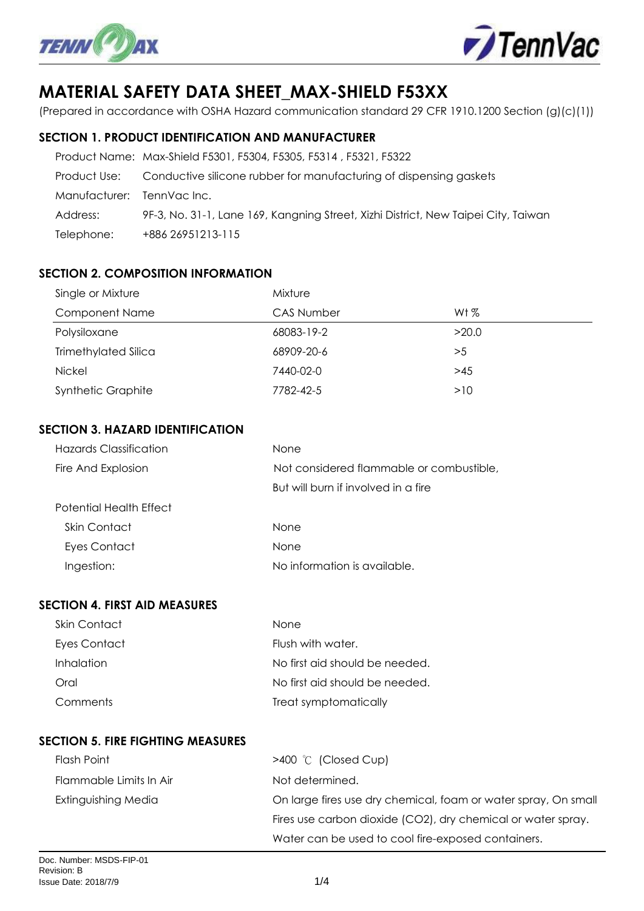



# **MATERIAL SAFETY DATA SHEET\_MAX-SHIELD F53XX**

(Prepared in accordance with OSHA Hazard communication standard 29 CFR 1910.1200 Section (g)(c)(1))

## **SECTION 1. PRODUCT IDENTIFICATION AND MANUFACTURER**

|                           | Product Name: Max-Shield F5301, F5304, F5305, F5314, F5321, F5322                  |
|---------------------------|------------------------------------------------------------------------------------|
| Product Use:              | Conductive silicone rubber for manufacturing of dispensing gaskets                 |
| Manufacturer: TennVaclnc. |                                                                                    |
| Address:                  | 9F-3, No. 31-1, Lane 169, Kangning Street, Xizhi District, New Taipei City, Taiwan |
| Telephone:                | +886 26951213-115                                                                  |

# **SECTION 2. COMPOSITION INFORMATION**

| Single or Mixture         | Mixture           |        |  |  |
|---------------------------|-------------------|--------|--|--|
| <b>Component Name</b>     | <b>CAS Number</b> | Wt $%$ |  |  |
| Polysiloxane              | 68083-19-2        | >20.0  |  |  |
| Trimethylated Silica      | 68909-20-6        | >5     |  |  |
| <b>Nickel</b>             | 7440-02-0         | >45    |  |  |
| <b>Synthetic Graphite</b> | 7782-42-5         | >10    |  |  |

## **SECTION 3. HAZARD IDENTIFICATION**

| <b>Hazards Classification</b> | None                                     |
|-------------------------------|------------------------------------------|
| Fire And Explosion            | Not considered flammable or combustible, |
|                               | But will burn if involved in a fire      |
| Potential Health Effect       |                                          |
| Skin Contact                  | <b>None</b>                              |
| Eyes Contact                  | None                                     |
| Ingestion:                    | No information is available.             |
|                               |                                          |

## **SECTION 4. FIRST AID MEASURES**

| Skin Contact | <b>None</b>                    |
|--------------|--------------------------------|
| Eyes Contact | Flush with water.              |
| Inhalation   | No first aid should be needed. |
| Oral         | No first aid should be needed. |
| Comments     | Treat symptomatically          |

# **SECTION 5. FIRE FIGHTING MEASURES**

| Flash Point             | $>400$ °C (Closed Cup)                                         |
|-------------------------|----------------------------------------------------------------|
| Flammable Limits In Air | Not determined.                                                |
| Extinguishing Media     | On large fires use dry chemical, foam or water spray, On small |
|                         | Fires use carbon dioxide (CO2), dry chemical or water spray.   |
|                         | Water can be used to cool fire-exposed containers.             |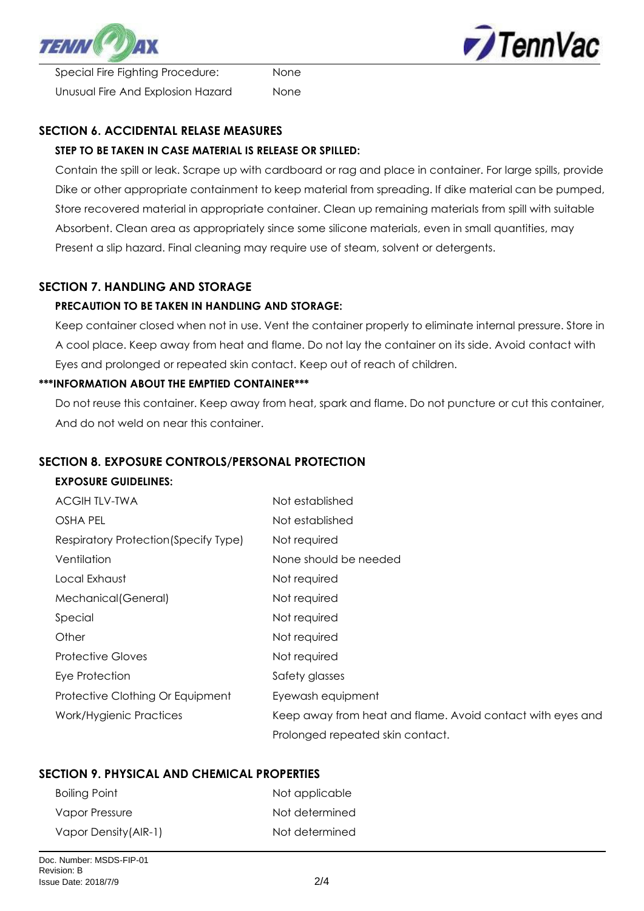

**TennVac** 

 Special Fire Fighting Procedure: None Unusual Fire And Explosion Hazard None

# **SECTION 6. ACCIDENTAL RELASE MEASURES**

# **STEP TO BE TAKEN IN CASE MATERIAL IS RELEASE OR SPILLED:**

 Contain the spill or leak. Scrape up with cardboard or rag and place in container. For large spills, provide Dike or other appropriate containment to keep material from spreading. If dike material can be pumped, Store recovered material in appropriate container. Clean up remaining materials from spill with suitable Absorbent. Clean area as appropriately since some silicone materials, even in small quantities, may Present a slip hazard. Final cleaning may require use of steam, solvent or detergents.

# **SECTION 7. HANDLING AND STORAGE**

## **PRECAUTION TO BE TAKEN IN HANDLING AND STORAGE:**

 Keep container closed when not in use. Vent the container properly to eliminate internal pressure. Store in A cool place. Keep away from heat and flame. Do not lay the container on its side. Avoid contact with Eyes and prolonged or repeated skin contact. Keep out of reach of children.

#### **\*\*\*INFORMATION ABOUT THE EMPTIED CONTAINER\*\*\***

 Do not reuse this container. Keep away from heat, spark and flame. Do not puncture or cut this container, And do not weld on near this container.

#### **SECTION 8. EXPOSURE CONTROLS/PERSONAL PROTECTION**

#### **EXPOSURE GUIDELINES:**

| <b>ACGIHTLV-TWA</b>                   | Not established                                            |
|---------------------------------------|------------------------------------------------------------|
| OSHA PEL                              | Not established                                            |
| Respiratory Protection (Specify Type) | Not required                                               |
| Ventilation                           | None should be needed                                      |
| Local Exhaust                         | Not required                                               |
| Mechanical (General)                  | Not required                                               |
| Special                               | Not required                                               |
| Other                                 | Not required                                               |
| <b>Protective Gloves</b>              | Not required                                               |
| Eye Protection                        | Safety glasses                                             |
| Protective Clothing Or Equipment      | Eyewash equipment                                          |
| Work/Hygienic Practices               | Keep away from heat and flame. Avoid contact with eyes and |
|                                       | Prolonged repeated skin contact.                           |

# **SECTION 9. PHYSICAL AND CHEMICAL PROPERTIES**

| <b>Boiling Point</b>  | Not applicable |
|-----------------------|----------------|
| Vapor Pressure        | Not determined |
| Vapor Density (AIR-1) | Not determined |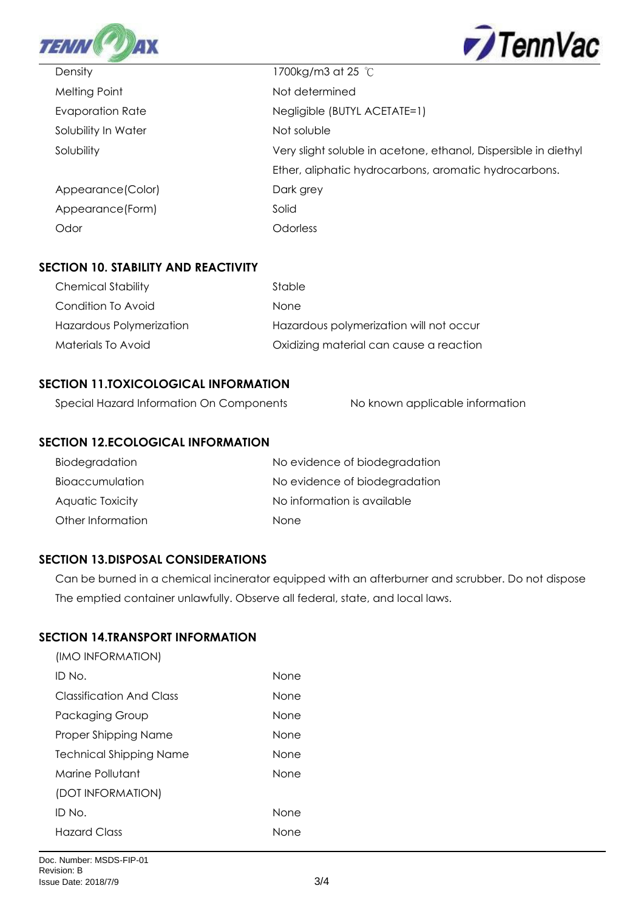



| Density             | 1700kg/m3 at 25 °C                                              |
|---------------------|-----------------------------------------------------------------|
| Melting Point       | Not determined                                                  |
| Evaporation Rate    | Negligible (BUTYL ACETATE=1)                                    |
| Solubility In Water | Not soluble                                                     |
| Solubility          | Very slight soluble in acetone, ethanol, Dispersible in diethyl |
|                     | Ether, aliphatic hydrocarbons, aromatic hydrocarbons.           |
| Appearance (Color)  | Dark grey                                                       |
| Appearance (Form)   | Solid                                                           |
| Odor                | Odorless                                                        |

## **SECTION 10. STABILITY AND REACTIVITY**

| <b>Chemical Stability</b> | Stable                                  |
|---------------------------|-----------------------------------------|
| Condition To Avoid        | <b>None</b>                             |
| Hazardous Polymerization  | Hazardous polymerization will not occur |
| Materials To Avoid        | Oxidizing material can cause a reaction |

# **SECTION 11.TOXICOLOGICAL INFORMATION**

| Special Hazard Information On Components | No known applicable information |
|------------------------------------------|---------------------------------|

## **SECTION 12.ECOLOGICAL INFORMATION**

| Biodegradation    | No evidence of biodegradation |
|-------------------|-------------------------------|
| Bioaccumulation   | No evidence of biodegradation |
| Aquatic Toxicity  | No information is available   |
| Other Information | <b>None</b>                   |

#### **SECTION 13.DISPOSAL CONSIDERATIONS**

 Can be burned in a chemical incinerator equipped with an afterburner and scrubber. Do not dispose The emptied container unlawfully. Observe all federal, state, and local laws.

# **SECTION 14.TRANSPORT INFORMATION**

| (IMO INFORMATION)              |             |
|--------------------------------|-------------|
| ID No.                         | None        |
| Classification And Class       | <b>None</b> |
| Packaging Group                | None        |
| Proper Shipping Name           | None        |
| <b>Technical Shipping Name</b> | None        |
| Marine Pollutant               | None        |
| (DOT INFORMATION)              |             |
| ID No.                         | <b>None</b> |
| Hazard Class                   | None        |
|                                |             |